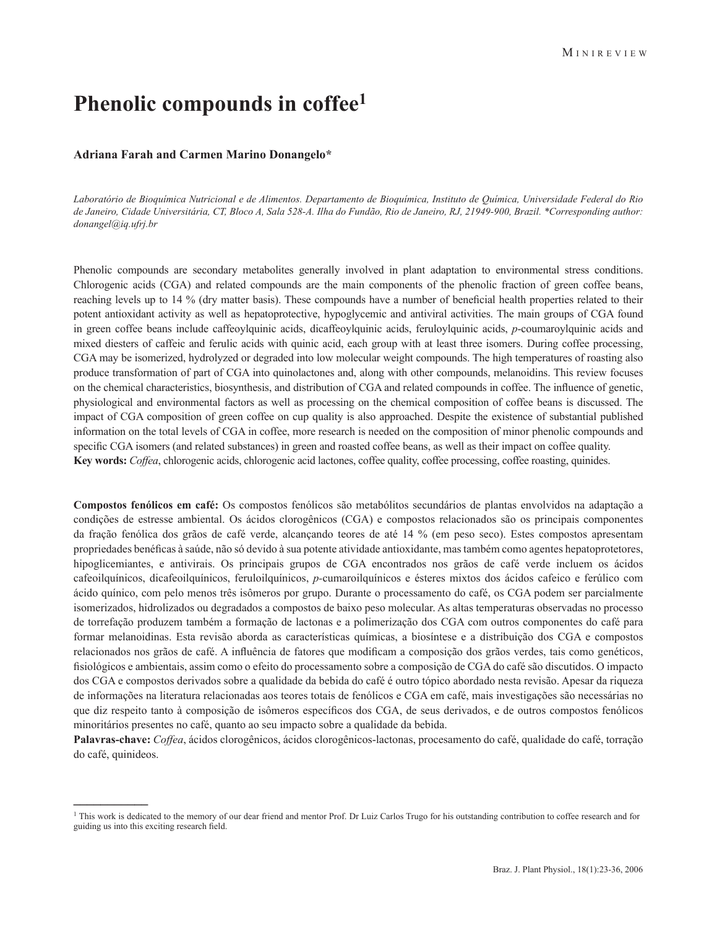## **Phenolic compounds in coffee1**

## **Adriana Farah and Carmen Marino Donangelo\***

**\_\_\_\_\_\_\_\_\_\_\_**

*Laboratório de Bioquímica Nutricional e de Alimentos. Departamento de Bioquímica, Instituto de Química, Universidade Federal do Rio de Janeiro, Cidade Universitária, CT, Bloco A, Sala 528-A. Ilha do Fundão, Rio de Janeiro, RJ, 21949-900, Brazil. \*Corresponding author: donangel@iq.ufrj.br*

Phenolic compounds are secondary metabolites generally involved in plant adaptation to environmental stress conditions. Chlorogenic acids (CGA) and related compounds are the main components of the phenolic fraction of green coffee beans, reaching levels up to 14 % (dry matter basis). These compounds have a number of beneficial health properties related to their potent antioxidant activity as well as hepatoprotective, hypoglycemic and antiviral activities. The main groups of CGA found in green coffee beans include caffeoylquinic acids, dicaffeoylquinic acids, feruloylquinic acids, *p*-coumaroylquinic acids and mixed diesters of caffeic and ferulic acids with quinic acid, each group with at least three isomers. During coffee processing, CGA may be isomerized, hydrolyzed or degraded into low molecular weight compounds. The high temperatures of roasting also produce transformation of part of CGA into quinolactones and, along with other compounds, melanoidins. This review focuses on the chemical characteristics, biosynthesis, and distribution of CGA and related compounds in coffee. The influence of genetic, physiological and environmental factors as well as processing on the chemical composition of coffee beans is discussed. The impact of CGA composition of green coffee on cup quality is also approached. Despite the existence of substantial published information on the total levels of CGA in coffee, more research is needed on the composition of minor phenolic compounds and specific CGA isomers (and related substances) in green and roasted coffee beans, as well as their impact on coffee quality. **Key words:** *Coffea*, chlorogenic acids, chlorogenic acid lactones, coffee quality, coffee processing, coffee roasting, quinides.

**Compostos fenólicos em café:** Os compostos fenólicos são metabólitos secundários de plantas envolvidos na adaptação a condições de estresse ambiental. Os ácidos clorogênicos (CGA) e compostos relacionados são os principais componentes da fração fenólica dos grãos de café verde, alcançando teores de até 14 % (em peso seco). Estes compostos apresentam propriedades benéficas à saúde, não só devido à sua potente atividade antioxidante, mas também como agentes hepatoprotetores, hipoglicemiantes, e antivirais. Os principais grupos de CGA encontrados nos grãos de café verde incluem os ácidos cafeoilquínicos, dicafeoilquínicos, feruloilquínicos, *p-*cumaroilquínicos e ésteres mixtos dos ácidos cafeico e ferúlico com ácido quínico, com pelo menos três isômeros por grupo. Durante o processamento do café, os CGA podem ser parcialmente isomerizados, hidrolizados ou degradados a compostos de baixo peso molecular. As altas temperaturas observadas no processo de torrefação produzem também a formação de lactonas e a polimerização dos CGA com outros componentes do café para formar melanoidinas. Esta revisão aborda as características químicas, a biosíntese e a distribuição dos CGA e compostos relacionados nos grãos de café. A influência de fatores que modificam a composição dos grãos verdes, tais como genéticos, fisiológicos e ambientais, assim como o efeito do processamento sobre a composição de CGA do café são discutidos. O impacto dos CGA e compostos derivados sobre a qualidade da bebida do café é outro tópico abordado nesta revisão. Apesar da riqueza de informações na literatura relacionadas aos teores totais de fenólicos e CGA em café, mais investigações são necessárias no que diz respeito tanto à composição de isômeros específicos dos CGA, de seus derivados, e de outros compostos fenólicos minoritários presentes no café, quanto ao seu impacto sobre a qualidade da bebida.

**Palavras-chave:** *Coffea*, ácidos clorogênicos, ácidos clorogênicos-lactonas, procesamento do café, qualidade do café, torração do café, quinideos.

<sup>&</sup>lt;sup>1</sup> This work is dedicated to the memory of our dear friend and mentor Prof. Dr Luiz Carlos Trugo for his outstanding contribution to coffee research and for guiding us into this exciting research field.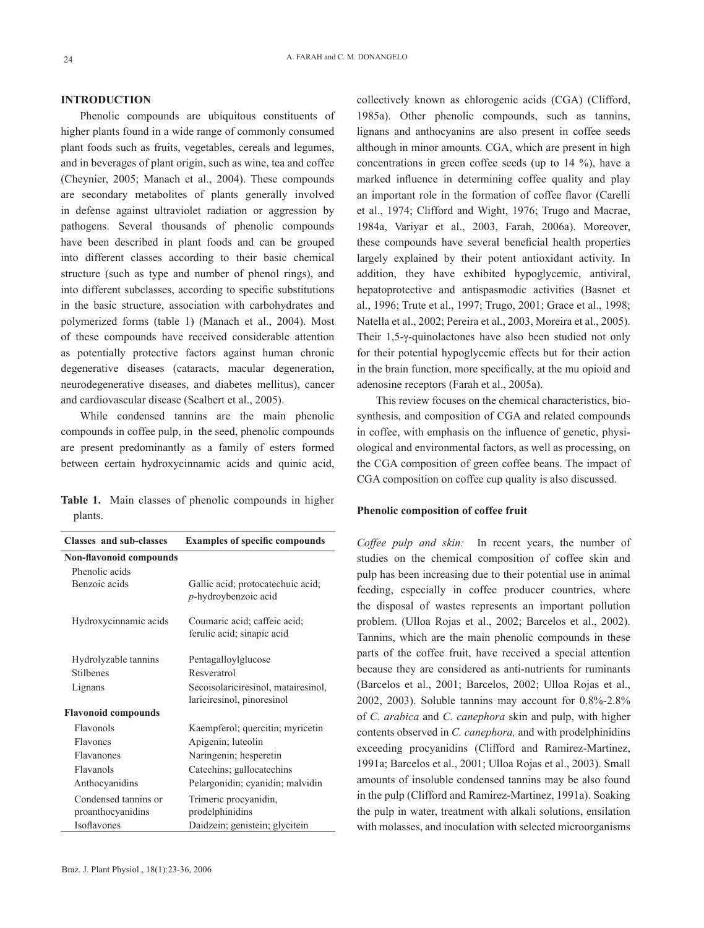## **INTRODUCTION**

 Phenolic compounds are ubiquitous constituents of higher plants found in a wide range of commonly consumed plant foods such as fruits, vegetables, cereals and legumes, and in beverages of plant origin, such as wine, tea and coffee (Cheynier, 2005; Manach et al., 2004). These compounds are secondary metabolites of plants generally involved in defense against ultraviolet radiation or aggression by pathogens. Several thousands of phenolic compounds have been described in plant foods and can be grouped into different classes according to their basic chemical structure (such as type and number of phenol rings), and into different subclasses, according to specific substitutions in the basic structure, association with carbohydrates and polymerized forms (table 1) (Manach et al., 2004). Most of these compounds have received considerable attention as potentially protective factors against human chronic degenerative diseases (cataracts, macular degeneration, neurodegenerative diseases, and diabetes mellitus), cancer and cardiovascular disease (Scalbert et al., 2005).

While condensed tannins are the main phenolic compounds in coffee pulp, in the seed, phenolic compounds are present predominantly as a family of esters formed between certain hydroxycinnamic acids and quinic acid,

**Table 1.** Main classes of phenolic compounds in higher plants.

| <b>Classes and sub-classes</b>                                  | <b>Examples of specific compounds</b>                                      |
|-----------------------------------------------------------------|----------------------------------------------------------------------------|
| Non-flavonoid compounds                                         |                                                                            |
| Phenolic acids                                                  |                                                                            |
| Benzoic acids                                                   | Gallic acid; protocatechuic acid;<br>$p$ -hydroybenzoic acid               |
| Hydroxycinnamic acids                                           | Coumaric acid; caffeic acid;<br>ferulic acid; sinapic acid                 |
| Hydrolyzable tannins                                            | Pentagalloylglucose                                                        |
| <b>Stilbenes</b>                                                | Resveratrol                                                                |
| Lignans                                                         | Secoisolariciresinol, matairesinol,<br>lariciresinol, pinoresinol          |
| <b>Flavonoid compounds</b>                                      |                                                                            |
| Flavonols                                                       | Kaempferol; quercitin; myricetin                                           |
| <b>Flavones</b>                                                 | Apigenin; luteolin                                                         |
| <b>Flavanones</b>                                               | Naringenin; hesperetin                                                     |
| Flavanols                                                       | Catechins; gallocatechins                                                  |
| Anthocyanidins                                                  | Pelargonidin; cyanidin; malvidin                                           |
| Condensed tannins or<br>proanthocyanidins<br><b>Isoflavones</b> | Trimeric procyanidin,<br>prodelphinidins<br>Daidzein; genistein; glycitein |

collectively known as chlorogenic acids (CGA) (Clifford, 1985a). Other phenolic compounds, such as tannins, lignans and anthocyanins are also present in coffee seeds although in minor amounts. CGA, which are present in high concentrations in green coffee seeds (up to 14 %), have a marked influence in determining coffee quality and play an important role in the formation of coffee flavor (Carelli et al., 1974; Clifford and Wight, 1976; Trugo and Macrae, 1984a, Variyar et al., 2003, Farah, 2006a). Moreover, these compounds have several beneficial health properties largely explained by their potent antioxidant activity. In addition, they have exhibited hypoglycemic, antiviral, hepatoprotective and antispasmodic activities (Basnet et al., 1996; Trute et al., 1997; Trugo, 2001; Grace et al., 1998; Natella et al., 2002; Pereira et al., 2003, Moreira et al., 2005). Their 1,5-γ-quinolactones have also been studied not only for their potential hypoglycemic effects but for their action in the brain function, more specifically, at the mu opioid and adenosine receptors (Farah et al., 2005a).

This review focuses on the chemical characteristics, biosynthesis, and composition of CGA and related compounds in coffee, with emphasis on the influence of genetic, physiological and environmental factors, as well as processing, on the CGA composition of green coffee beans. The impact of CGA composition on coffee cup quality is also discussed.

## **Phenolic composition of coffee fruit**

*Coffee pulp and skin:* In recent years, the number of studies on the chemical composition of coffee skin and pulp has been increasing due to their potential use in animal feeding, especially in coffee producer countries, where the disposal of wastes represents an important pollution problem. (Ulloa Rojas et al., 2002; Barcelos et al., 2002). Tannins, which are the main phenolic compounds in these parts of the coffee fruit, have received a special attention because they are considered as anti-nutrients for ruminants (Barcelos et al., 2001; Barcelos, 2002; Ulloa Rojas et al., 2002, 2003). Soluble tannins may account for 0.8%-2.8% of *C. arabica* and *C. canephora* skin and pulp, with higher contents observed in *C. canephora,* and with prodelphinidins exceeding procyanidins (Clifford and Ramirez-Martinez, 1991a; Barcelos et al., 2001; Ulloa Rojas et al., 2003). Small amounts of insoluble condensed tannins may be also found in the pulp (Clifford and Ramirez-Martinez, 1991a). Soaking the pulp in water, treatment with alkali solutions, ensilation with molasses, and inoculation with selected microorganisms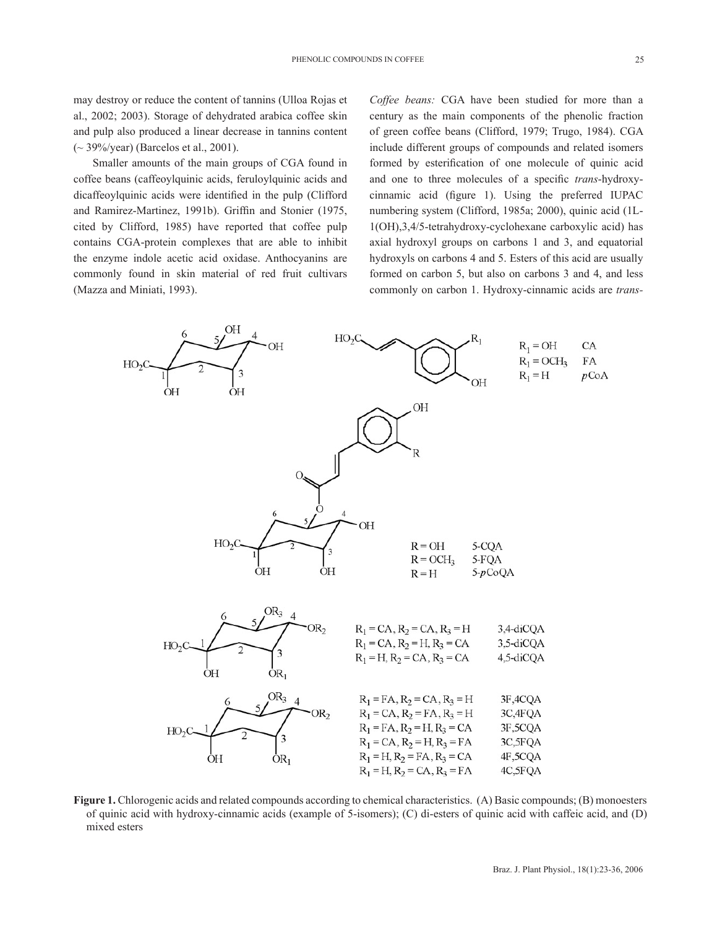may destroy or reduce the content of tannins (Ulloa Rojas et al., 2002; 2003). Storage of dehydrated arabica coffee skin and pulp also produced a linear decrease in tannins content (~ 39%/year) (Barcelos et al., 2001).

Smaller amounts of the main groups of CGA found in coffee beans (caffeoylquinic acids, feruloylquinic acids and dicaffeoylquinic acids were identified in the pulp (Clifford and Ramirez-Martinez, 1991b). Griffin and Stonier (1975, cited by Clifford, 1985) have reported that coffee pulp contains CGA-protein complexes that are able to inhibit the enzyme indole acetic acid oxidase. Anthocyanins are commonly found in skin material of red fruit cultivars (Mazza and Miniati, 1993).

*Coffee beans:* CGA have been studied for more than a century as the main components of the phenolic fraction of green coffee beans (Clifford, 1979; Trugo, 1984). CGA include different groups of compounds and related isomers formed by esterification of one molecule of quinic acid and one to three molecules of a specific *trans*-hydroxycinnamic acid (figure 1). Using the preferred IUPAC numbering system (Clifford, 1985a; 2000), quinic acid (1L-1(OH),3,4/5-tetrahydroxy-cyclohexane carboxylic acid) has axial hydroxyl groups on carbons 1 and 3, and equatorial hydroxyls on carbons 4 and 5. Esters of this acid are usually formed on carbon 5, but also on carbons 3 and 4, and less commonly on carbon 1. Hydroxy-cinnamic acids are *trans-*



**Figure 1.** Chlorogenic acids and related compounds according to chemical characteristics. (A) Basic compounds; (B) monoesters of quinic acid with hydroxy-cinnamic acids (example of 5-isomers); (C) di-esters of quinic acid with caffeic acid, and (D) mixed esters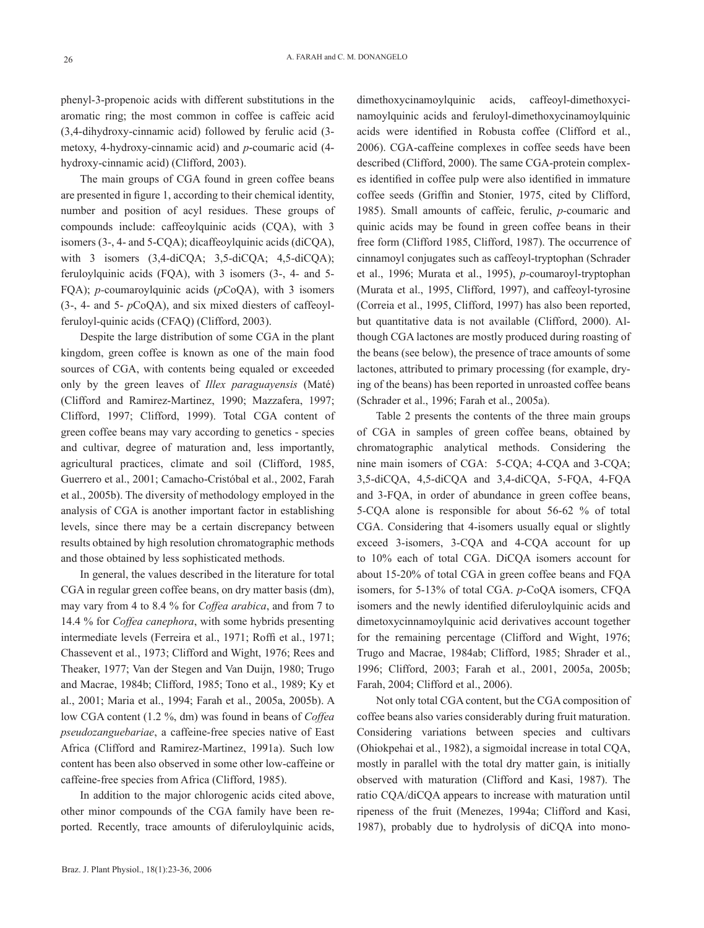phenyl-3-propenoic acids with different substitutions in the aromatic ring; the most common in coffee is caffeic acid (3,4-dihydroxy-cinnamic acid) followed by ferulic acid (3 metoxy, 4-hydroxy-cinnamic acid) and *p*-coumaric acid (4 hydroxy-cinnamic acid) (Clifford, 2003).

The main groups of CGA found in green coffee beans are presented in figure 1, according to their chemical identity, number and position of acyl residues. These groups of compounds include: caffeoylquinic acids (CQA), with 3 isomers (3-, 4- and 5-CQA); dicaffeoylquinic acids (diCQA), with 3 isomers (3,4-diCQA; 3,5-diCQA; 4,5-diCQA); feruloylquinic acids (FQA), with 3 isomers (3-, 4- and 5- FQA); *p-*coumaroylquinic acids (*p*CoQA), with 3 isomers (3-, 4- and 5- *p*CoQA), and six mixed diesters of caffeoylferuloyl-quinic acids (CFAQ) (Clifford, 2003).

 Despite the large distribution of some CGA in the plant kingdom, green coffee is known as one of the main food sources of CGA, with contents being equaled or exceeded only by the green leaves of *Illex paraguayensis* (Maté) (Clifford and Ramirez-Martinez, 1990; Mazzafera, 1997; Clifford, 1997; Clifford, 1999). Total CGA content of green coffee beans may vary according to genetics - species and cultivar, degree of maturation and, less importantly, agricultural practices, climate and soil (Clifford, 1985, Guerrero et al., 2001; Camacho-Cristóbal et al., 2002, Farah et al., 2005b). The diversity of methodology employed in the analysis of CGA is another important factor in establishing levels, since there may be a certain discrepancy between results obtained by high resolution chromatographic methods and those obtained by less sophisticated methods.

In general, the values described in the literature for total CGA in regular green coffee beans, on dry matter basis (dm), may vary from 4 to 8.4 % for *Coffea arabica*, and from 7 to 14.4 % for *Coffea canephora*, with some hybrids presenting intermediate levels (Ferreira et al., 1971; Roffi et al., 1971; Chassevent et al., 1973; Clifford and Wight, 1976; Rees and Theaker, 1977; Van der Stegen and Van Duijn, 1980; Trugo and Macrae, 1984b; Clifford, 1985; Tono et al., 1989; Ky et al., 2001; Maria et al., 1994; Farah et al., 2005a, 2005b). A low CGA content (1.2 %, dm) was found in beans of *Coffea pseudozanguebariae*, a caffeine-free species native of East Africa (Clifford and Ramirez-Martinez, 1991a). Such low content has been also observed in some other low-caffeine or caffeine-free species from Africa (Clifford, 1985).

In addition to the major chlorogenic acids cited above, other minor compounds of the CGA family have been reported. Recently, trace amounts of diferuloylquinic acids, dimethoxycinamoylquinic acids, caffeoyl-dimethoxycinamoylquinic acids and feruloyl-dimethoxycinamoylquinic acids were identified in Robusta coffee (Clifford et al., 2006). CGA-caffeine complexes in coffee seeds have been described (Clifford, 2000). The same CGA-protein complexes identified in coffee pulp were also identified in immature coffee seeds (Griffin and Stonier, 1975, cited by Clifford, 1985). Small amounts of caffeic, ferulic, *p*-coumaric and quinic acids may be found in green coffee beans in their free form (Clifford 1985, Clifford, 1987). The occurrence of cinnamoyl conjugates such as caffeoyl-tryptophan (Schrader et al., 1996; Murata et al., 1995), *p-*coumaroyl-tryptophan (Murata et al., 1995, Clifford, 1997), and caffeoyl-tyrosine (Correia et al., 1995, Clifford, 1997) has also been reported, but quantitative data is not available (Clifford, 2000). Although CGA lactones are mostly produced during roasting of the beans (see below), the presence of trace amounts of some lactones, attributed to primary processing (for example, drying of the beans) has been reported in unroasted coffee beans (Schrader et al., 1996; Farah et al., 2005a).

Table 2 presents the contents of the three main groups of CGA in samples of green coffee beans, obtained by chromatographic analytical methods. Considering the nine main isomers of CGA: 5-CQA; 4-CQA and 3-CQA; 3,5-diCQA, 4,5-diCQA and 3,4-diCQA, 5-FQA, 4-FQA and 3-FQA, in order of abundance in green coffee beans, 5-CQA alone is responsible for about 56-62 % of total CGA. Considering that 4-isomers usually equal or slightly exceed 3-isomers, 3-CQA and 4-CQA account for up to 10% each of total CGA. DiCQA isomers account for about 15-20% of total CGA in green coffee beans and FQA isomers, for 5-13% of total CGA. *p*-CoQA isomers, CFQA isomers and the newly identified diferuloylquinic acids and dimetoxycinnamoylquinic acid derivatives account together for the remaining percentage (Clifford and Wight, 1976; Trugo and Macrae, 1984ab; Clifford, 1985; Shrader et al., 1996; Clifford, 2003; Farah et al., 2001, 2005a, 2005b; Farah, 2004; Clifford et al., 2006).

Not only total CGA content, but the CGA composition of coffee beans also varies considerably during fruit maturation. Considering variations between species and cultivars (Ohiokpehai et al., 1982), a sigmoidal increase in total CQA, mostly in parallel with the total dry matter gain, is initially observed with maturation (Clifford and Kasi, 1987). The ratio CQA/diCQA appears to increase with maturation until ripeness of the fruit (Menezes, 1994a; Clifford and Kasi, 1987), probably due to hydrolysis of diCQA into mono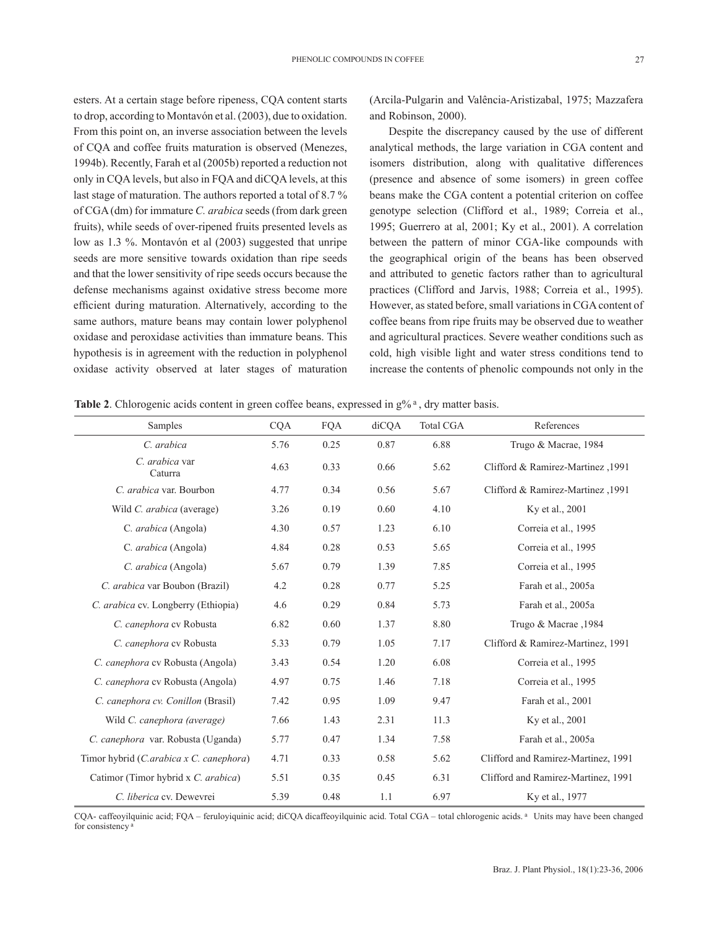esters. At a certain stage before ripeness, CQA content starts to drop, according to Montavón et al. (2003), due to oxidation. From this point on, an inverse association between the levels of CQA and coffee fruits maturation is observed (Menezes, 1994b). Recently, Farah et al (2005b) reported a reduction not only in CQA levels, but also in FQA and diCQA levels, at this last stage of maturation. The authors reported a total of 8.7 % of CGA (dm) for immature *C. arabica* seeds (from dark green fruits), while seeds of over-ripened fruits presented levels as low as 1.3 %. Montavón et al (2003) suggested that unripe seeds are more sensitive towards oxidation than ripe seeds and that the lower sensitivity of ripe seeds occurs because the defense mechanisms against oxidative stress become more efficient during maturation. Alternatively, according to the same authors, mature beans may contain lower polyphenol oxidase and peroxidase activities than immature beans. This hypothesis is in agreement with the reduction in polyphenol oxidase activity observed at later stages of maturation

(Arcila-Pulgarin and Valência-Aristizabal, 1975; Mazzafera and Robinson, 2000).

Despite the discrepancy caused by the use of different analytical methods, the large variation in CGA content and isomers distribution, along with qualitative differences (presence and absence of some isomers) in green coffee beans make the CGA content a potential criterion on coffee genotype selection (Clifford et al., 1989; Correia et al., 1995; Guerrero at al, 2001; Ky et al., 2001). A correlation between the pattern of minor CGA-like compounds with the geographical origin of the beans has been observed and attributed to genetic factors rather than to agricultural practices (Clifford and Jarvis, 1988; Correia et al., 1995). However, as stated before, small variations in CGA content of coffee beans from ripe fruits may be observed due to weather and agricultural practices. Severe weather conditions such as cold, high visible light and water stress conditions tend to increase the contents of phenolic compounds not only in the

**Table 2**. Chlorogenic acids content in green coffee beans, expressed in g%<sup>a</sup>, dry matter basis.

| Samples                                 | <b>CQA</b> | <b>FQA</b> | diCQA | <b>Total CGA</b> | References                          |
|-----------------------------------------|------------|------------|-------|------------------|-------------------------------------|
| C. arabica                              | 5.76       | 0.25       | 0.87  | 6.88             | Trugo & Macrae, 1984                |
| C. arabica var<br>Caturra               | 4.63       | 0.33       | 0.66  | 5.62             | Clifford & Ramirez-Martinez, 1991   |
| C. arabica var. Bourbon                 | 4.77       | 0.34       | 0.56  | 5.67             | Clifford & Ramirez-Martinez, 1991   |
| Wild C. arabica (average)               | 3.26       | 0.19       | 0.60  | 4.10             | Ky et al., 2001                     |
| C. arabica (Angola)                     | 4.30       | 0.57       | 1.23  | 6.10             | Correia et al., 1995                |
| C. arabica (Angola)                     | 4.84       | 0.28       | 0.53  | 5.65             | Correia et al., 1995                |
| C. arabica (Angola)                     | 5.67       | 0.79       | 1.39  | 7.85             | Correia et al., 1995                |
| C. arabica var Boubon (Brazil)          | 4.2        | 0.28       | 0.77  | 5.25             | Farah et al., 2005a                 |
| C. arabica cv. Longberry (Ethiopia)     | 4.6        | 0.29       | 0.84  | 5.73             | Farah et al., 2005a                 |
| C. canephora cv Robusta                 | 6.82       | 0.60       | 1.37  | 8.80             | Trugo & Macrae, 1984                |
| C. canephora cv Robusta                 | 5.33       | 0.79       | 1.05  | 7.17             | Clifford & Ramirez-Martinez, 1991   |
| C. canephora cv Robusta (Angola)        | 3.43       | 0.54       | 1.20  | 6.08             | Correia et al., 1995                |
| C. canephora cv Robusta (Angola)        | 4.97       | 0.75       | 1.46  | 7.18             | Correia et al., 1995                |
| C. canephora cv. Conillon (Brasil)      | 7.42       | 0.95       | 1.09  | 9.47             | Farah et al., 2001                  |
| Wild C. canephora (average)             | 7.66       | 1.43       | 2.31  | 11.3             | Ky et al., 2001                     |
| C. canephora var. Robusta (Uganda)      | 5.77       | 0.47       | 1.34  | 7.58             | Farah et al., 2005a                 |
| Timor hybrid (C.arabica x C. canephora) | 4.71       | 0.33       | 0.58  | 5.62             | Clifford and Ramirez-Martinez, 1991 |
| Catimor (Timor hybrid x C. arabica)     | 5.51       | 0.35       | 0.45  | 6.31             | Clifford and Ramirez-Martinez, 1991 |
| C. liberica cv. Dewevrei                | 5.39       | 0.48       | 1.1   | 6.97             | Ky et al., 1977                     |

CQA- caffeoyilquinic acid; FQA – feruloyiquinic acid; diCQA dicaffeoyilquinic acid. Total CGA – total chlorogenic acids. a Units may have been changed for consistency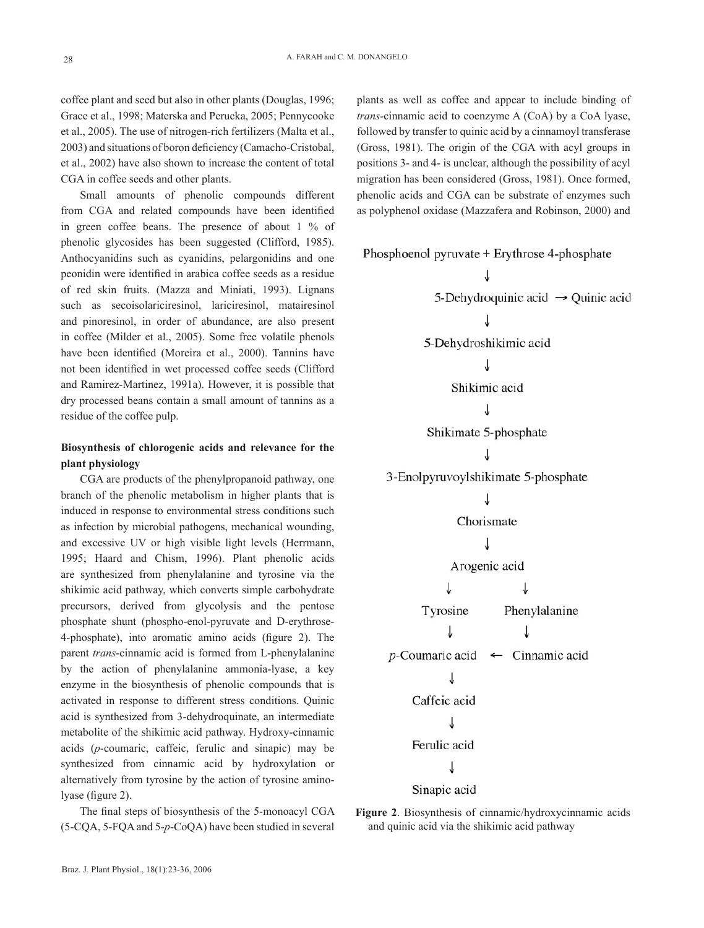coffee plant and seed but also in other plants (Douglas, 1996; Grace et al., 1998; Materska and Perucka, 2005; Pennycooke et al., 2005). The use of nitrogen-rich fertilizers (Malta et al., 2003) and situations of boron deficiency (Camacho-Cristobal, et al., 2002) have also shown to increase the content of total CGA in coffee seeds and other plants.

Small amounts of phenolic compounds different from CGA and related compounds have been identified in green coffee beans. The presence of about 1 % of phenolic glycosides has been suggested (Clifford, 1985). Anthocyanidins such as cyanidins, pelargonidins and one peonidin were identified in arabica coffee seeds as a residue of red skin fruits. (Mazza and Miniati, 1993). Lignans such as secoisolariciresinol, lariciresinol, matairesinol and pinoresinol, in order of abundance, are also present in coffee (Milder et al., 2005). Some free volatile phenols have been identified (Moreira et al., 2000). Tannins have not been identified in wet processed coffee seeds (Clifford and Ramirez-Martinez, 1991a). However, it is possible that dry processed beans contain a small amount of tannins as a residue of the coffee pulp.

## **Biosynthesis of chlorogenic acids and relevance for the plant physiology**

 CGA are products of the phenylpropanoid pathway, one branch of the phenolic metabolism in higher plants that is induced in response to environmental stress conditions such as infection by microbial pathogens, mechanical wounding, and excessive UV or high visible light levels (Herrmann, 1995; Haard and Chism, 1996). Plant phenolic acids are synthesized from phenylalanine and tyrosine via the shikimic acid pathway, which converts simple carbohydrate precursors, derived from glycolysis and the pentose phosphate shunt (phospho-enol-pyruvate and D-erythrose-4-phosphate), into aromatic amino acids (figure 2). The parent *trans*-cinnamic acid is formed from L-phenylalanine by the action of phenylalanine ammonia-lyase, a key enzyme in the biosynthesis of phenolic compounds that is activated in response to different stress conditions. Quinic acid is synthesized from 3-dehydroquinate, an intermediate metabolite of the shikimic acid pathway. Hydroxy-cinnamic acids (*p*-coumaric, caffeic, ferulic and sinapic) may be synthesized from cinnamic acid by hydroxylation or alternatively from tyrosine by the action of tyrosine aminolyase (figure 2).

The final steps of biosynthesis of the 5-monoacyl CGA (5-CQA, 5-FQA and 5-*p*-CoQA) have been studied in several

plants as well as coffee and appear to include binding of *trans-*cinnamic acid to coenzyme A (CoA) by a CoA lyase, followed by transfer to quinic acid by a cinnamoyl transferase (Gross, 1981). The origin of the CGA with acyl groups in positions 3- and 4- is unclear, although the possibility of acyl migration has been considered (Gross, 1981). Once formed, phenolic acids and CGA can be substrate of enzymes such as polyphenol oxidase (Mazzafera and Robinson, 2000) and

# Phosphoenol pyruvate  $+$  Erythrose 4-phosphate 5-Dehydroquinic acid  $\rightarrow$  Quinic acid 5-Dehydroshikimic acid Shikimic acid T Shikimate 5-phosphate J 3-Enolpyruvoylshikimate 5-phosphate Chorismate J Arogenic acid  $\mathbf{I}$ Tyrosine Phenylalanine  $\downarrow$ T  $p$ -Coumaric acid  $\leftarrow$  Cinnamic acid T Caffeic acid Ferulic acid T Sinapic acid

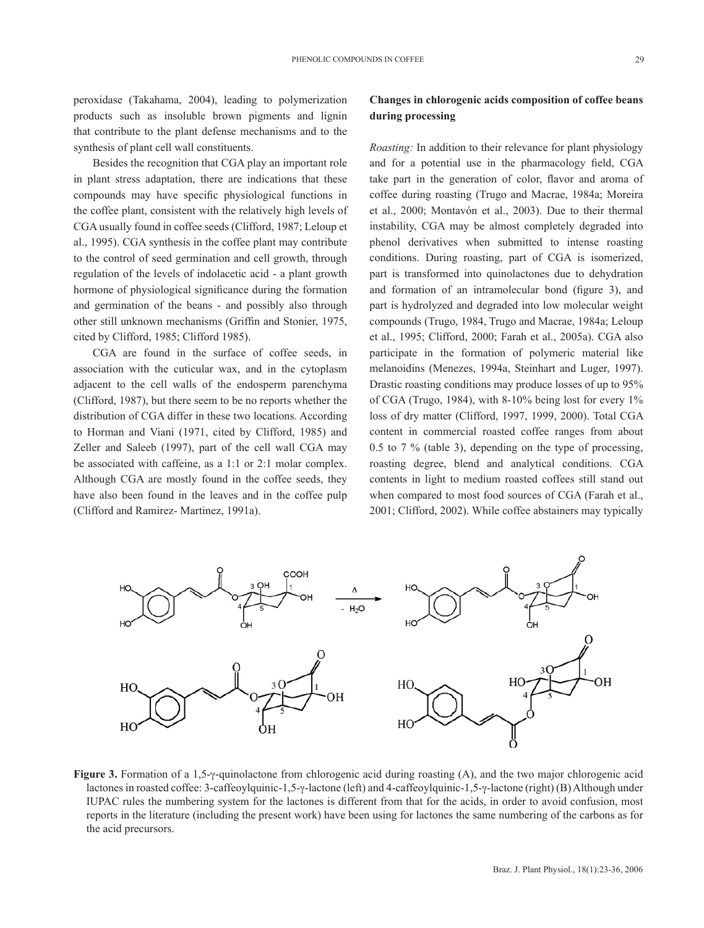peroxidase (Takahama, 2004), leading to polymerization products such as insoluble brown pigments and lignin that contribute to the plant defense mechanisms and to the synthesis of plant cell wall constituents.

 Besides the recognition that CGA play an important role in plant stress adaptation, there are indications that these compounds may have specific physiological functions in the coffee plant, consistent with the relatively high levels of CGA usually found in coffee seeds (Clifford, 1987; Leloup et al., 1995). CGA synthesis in the coffee plant may contribute to the control of seed germination and cell growth, through regulation of the levels of indolacetic acid - a plant growth hormone of physiological significance during the formation and germination of the beans - and possibly also through other still unknown mechanisms (Griffin and Stonier, 1975, cited by Clifford, 1985; Clifford 1985).

CGA are found in the surface of coffee seeds, in association with the cuticular wax, and in the cytoplasm adjacent to the cell walls of the endosperm parenchyma (Clifford, 1987), but there seem to be no reports whether the distribution of CGA differ in these two locations. According to Horman and Viani (1971, cited by Clifford, 1985) and Zeller and Saleeb (1997), part of the cell wall CGA may be associated with caffeine, as a 1:1 or 2:1 molar complex. Although CGA are mostly found in the coffee seeds, they have also been found in the leaves and in the coffee pulp (Clifford and Ramirez- Martinez, 1991a).

## **Changes in chlorogenic acids composition of coffee beans during processing**

*Roasting:* In addition to their relevance for plant physiology and for a potential use in the pharmacology field, CGA take part in the generation of color, flavor and aroma of coffee during roasting (Trugo and Macrae, 1984a; Moreira et al., 2000; Montavón et al., 2003). Due to their thermal instability, CGA may be almost completely degraded into phenol derivatives when submitted to intense roasting conditions. During roasting, part of CGA is isomerized, part is transformed into quinolactones due to dehydration and formation of an intramolecular bond (figure 3), and part is hydrolyzed and degraded into low molecular weight compounds (Trugo, 1984, Trugo and Macrae, 1984a; Leloup et al., 1995; Clifford, 2000; Farah et al., 2005a). CGA also participate in the formation of polymeric material like melanoidins (Menezes, 1994a, Steinhart and Luger, 1997). Drastic roasting conditions may produce losses of up to 95% of CGA (Trugo, 1984), with 8-10% being lost for every 1% loss of dry matter (Clifford, 1997, 1999, 2000). Total CGA content in commercial roasted coffee ranges from about 0.5 to 7 % (table 3), depending on the type of processing, roasting degree, blend and analytical conditions. CGA contents in light to medium roasted coffees still stand out when compared to most food sources of CGA (Farah et al., 2001; Clifford, 2002). While coffee abstainers may typically



**Figure 3.** Formation of a 1,5-γ-quinolactone from chlorogenic acid during roasting (A), and the two major chlorogenic acid lactones in roasted coffee: 3-caffeoylquinic-1,5-γ-lactone (left) and 4-caffeoylquinic-1,5-γ-lactone (right) (B) Although under IUPAC rules the numbering system for the lactones is different from that for the acids, in order to avoid confusion, most reports in the literature (including the present work) have been using for lactones the same numbering of the carbons as for the acid precursors.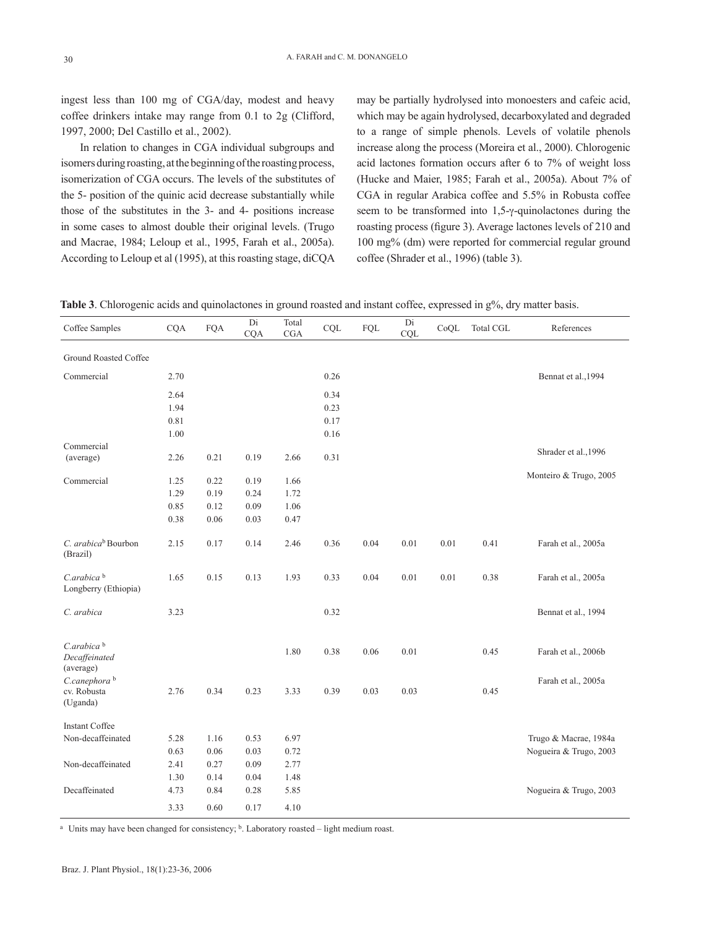ingest less than 100 mg of CGA/day, modest and heavy coffee drinkers intake may range from 0.1 to 2g (Clifford, 1997, 2000; Del Castillo et al., 2002).

In relation to changes in CGA individual subgroups and isomers during roasting, at the beginning of the roasting process, isomerization of CGA occurs. The levels of the substitutes of the 5- position of the quinic acid decrease substantially while those of the substitutes in the 3- and 4- positions increase in some cases to almost double their original levels. (Trugo and Macrae, 1984; Leloup et al., 1995, Farah et al., 2005a). According to Leloup et al (1995), at this roasting stage, diCQA may be partially hydrolysed into monoesters and cafeic acid, which may be again hydrolysed, decarboxylated and degraded to a range of simple phenols. Levels of volatile phenols increase along the process (Moreira et al., 2000). Chlorogenic acid lactones formation occurs after 6 to 7% of weight loss (Hucke and Maier, 1985; Farah et al., 2005a). About 7% of CGA in regular Arabica coffee and 5.5% in Robusta coffee seem to be transformed into 1,5-γ-quinolactones during the roasting process (figure 3). Average lactones levels of 210 and 100 mg% (dm) were reported for commercial regular ground coffee (Shrader et al., 1996) (table 3).

|  |  |  |  | Table 3. Chlorogenic acids and quinolactones in ground roasted and instant coffee, expressed in g%, dry matter basis. |  |  |  |
|--|--|--|--|-----------------------------------------------------------------------------------------------------------------------|--|--|--|
|--|--|--|--|-----------------------------------------------------------------------------------------------------------------------|--|--|--|

| Coffee Samples                                      | CQA  | <b>FQA</b> | Di<br>CQA | Total<br>$_{\rm CGA}$ | CQL  | ${\rm FQL}$ | Di<br>CQL | CoQL | Total CGL | References             |
|-----------------------------------------------------|------|------------|-----------|-----------------------|------|-------------|-----------|------|-----------|------------------------|
| Ground Roasted Coffee                               |      |            |           |                       |      |             |           |      |           |                        |
| Commercial                                          | 2.70 |            |           |                       | 0.26 |             |           |      |           | Bennat et al., 1994    |
|                                                     | 2.64 |            |           |                       | 0.34 |             |           |      |           |                        |
|                                                     | 1.94 |            |           |                       | 0.23 |             |           |      |           |                        |
|                                                     | 0.81 |            |           |                       | 0.17 |             |           |      |           |                        |
|                                                     | 1.00 |            |           |                       | 0.16 |             |           |      |           |                        |
| Commercial                                          |      |            |           |                       |      |             |           |      |           | Shrader et al., 1996   |
| (average)                                           | 2.26 | 0.21       | 0.19      | 2.66                  | 0.31 |             |           |      |           |                        |
| Commercial                                          | 1.25 | 0.22       | 0.19      | 1.66                  |      |             |           |      |           | Monteiro & Trugo, 2005 |
|                                                     | 1.29 | 0.19       | 0.24      | 1.72                  |      |             |           |      |           |                        |
|                                                     | 0.85 | 0.12       | 0.09      | 1.06                  |      |             |           |      |           |                        |
|                                                     | 0.38 | 0.06       | 0.03      | 0.47                  |      |             |           |      |           |                        |
| C. arabica <sup>b</sup> Bourbon<br>(Brazil)         | 2.15 | 0.17       | 0.14      | 2.46                  | 0.36 | 0.04        | 0.01      | 0.01 | 0.41      | Farah et al., 2005a    |
| C. arabica <sup>b</sup><br>Longberry (Ethiopia)     | 1.65 | 0.15       | 0.13      | 1.93                  | 0.33 | 0.04        | 0.01      | 0.01 | 0.38      | Farah et al., 2005a    |
| C. arabica                                          | 3.23 |            |           |                       | 0.32 |             |           |      |           | Bennat et al., 1994    |
| C.arabica b<br>Decaffeinated<br>(average)           |      |            |           | 1.80                  | 0.38 | 0.06        | 0.01      |      | 0.45      | Farah et al., 2006b    |
| C.canephora <sup>b</sup><br>cv. Robusta<br>(Uganda) | 2.76 | 0.34       | 0.23      | 3.33                  | 0.39 | 0.03        | 0.03      |      | 0.45      | Farah et al., 2005a    |
| <b>Instant Coffee</b>                               |      |            |           |                       |      |             |           |      |           |                        |
| Non-decaffeinated                                   | 5.28 | 1.16       | 0.53      | 6.97                  |      |             |           |      |           | Trugo & Macrae, 1984a  |
|                                                     | 0.63 | $0.06\,$   | 0.03      | 0.72                  |      |             |           |      |           | Nogueira & Trugo, 2003 |
| Non-decaffeinated                                   | 2.41 | 0.27       | 0.09      | 2.77                  |      |             |           |      |           |                        |
|                                                     | 1.30 | 0.14       | 0.04      | 1.48                  |      |             |           |      |           |                        |
| Decaffeinated                                       | 4.73 | 0.84       | 0.28      | 5.85                  |      |             |           |      |           | Nogueira & Trugo, 2003 |
|                                                     | 3.33 | 0.60       | 0.17      | 4.10                  |      |             |           |      |           |                        |

<sup>a</sup> Units may have been changed for consistency;  $\frac{b}{c}$ . Laboratory roasted – light medium roast.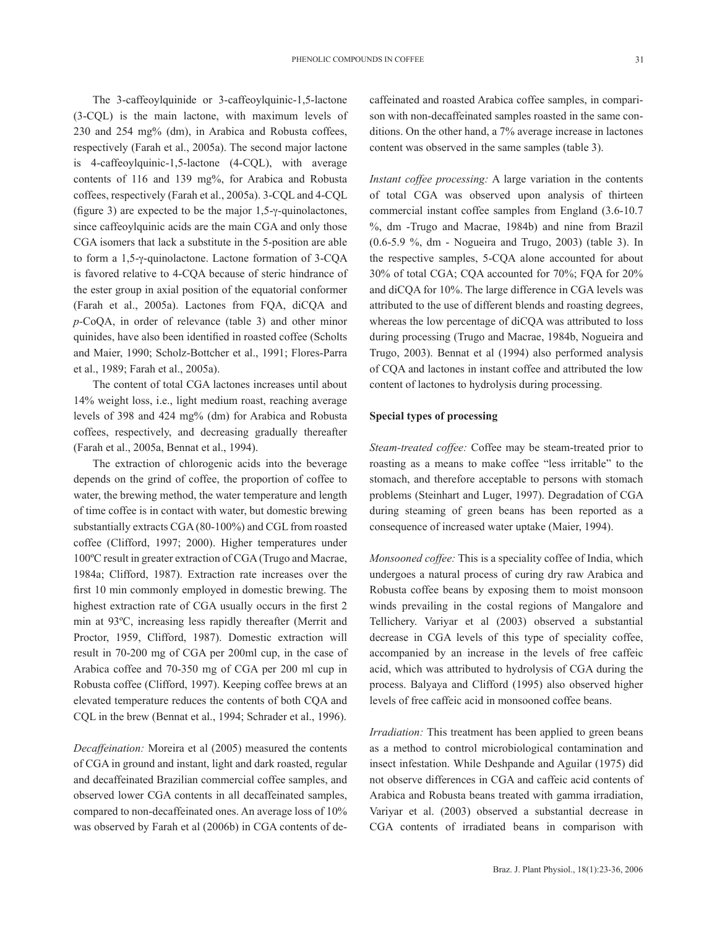The 3-caffeoylquinide or 3-caffeoylquinic-1,5-lactone (3-CQL) is the main lactone, with maximum levels of 230 and 254 mg% (dm), in Arabica and Robusta coffees, respectively (Farah et al., 2005a). The second major lactone is 4-caffeoylquinic-1,5-lactone (4-CQL), with average contents of 116 and 139 mg%, for Arabica and Robusta coffees, respectively (Farah et al., 2005a). 3-CQL and 4-CQL (figure 3) are expected to be the major 1,5-γ-quinolactones, since caffeoylquinic acids are the main CGA and only those CGA isomers that lack a substitute in the 5-position are able to form a 1,5-γ-quinolactone. Lactone formation of 3-CQA is favored relative to 4-CQA because of steric hindrance of the ester group in axial position of the equatorial conformer (Farah et al., 2005a). Lactones from FQA, diCQA and *p-*CoQA, in order of relevance (table 3) and other minor quinides, have also been identified in roasted coffee (Scholts and Maier, 1990; Scholz-Bottcher et al., 1991; Flores-Parra et al., 1989; Farah et al., 2005a).

The content of total CGA lactones increases until about 14% weight loss, i.e., light medium roast, reaching average levels of 398 and 424 mg% (dm) for Arabica and Robusta coffees, respectively, and decreasing gradually thereafter (Farah et al., 2005a, Bennat et al., 1994).

The extraction of chlorogenic acids into the beverage depends on the grind of coffee, the proportion of coffee to water, the brewing method, the water temperature and length of time coffee is in contact with water, but domestic brewing substantially extracts CGA (80-100%) and CGL from roasted coffee (Clifford, 1997; 2000). Higher temperatures under 100ºC result in greater extraction of CGA (Trugo and Macrae, 1984a; Clifford, 1987). Extraction rate increases over the first 10 min commonly employed in domestic brewing. The highest extraction rate of CGA usually occurs in the first 2 min at 93ºC, increasing less rapidly thereafter (Merrit and Proctor, 1959, Clifford, 1987). Domestic extraction will result in 70-200 mg of CGA per 200ml cup, in the case of Arabica coffee and 70-350 mg of CGA per 200 ml cup in Robusta coffee (Clifford, 1997). Keeping coffee brews at an elevated temperature reduces the contents of both CQA and CQL in the brew (Bennat et al., 1994; Schrader et al., 1996).

*Decaffeination:* Moreira et al (2005) measured the contents of CGA in ground and instant, light and dark roasted, regular and decaffeinated Brazilian commercial coffee samples, and observed lower CGA contents in all decaffeinated samples, compared to non-decaffeinated ones. An average loss of 10% was observed by Farah et al (2006b) in CGA contents of decaffeinated and roasted Arabica coffee samples, in comparison with non-decaffeinated samples roasted in the same conditions. On the other hand, a 7% average increase in lactones content was observed in the same samples (table 3).

*Instant coffee processing:* A large variation in the contents of total CGA was observed upon analysis of thirteen commercial instant coffee samples from England (3.6-10.7 %, dm -Trugo and Macrae, 1984b) and nine from Brazil (0.6-5.9 %, dm - Nogueira and Trugo, 2003) (table 3). In the respective samples, 5-CQA alone accounted for about 30% of total CGA; CQA accounted for 70%; FQA for 20% and diCQA for 10%. The large difference in CGA levels was attributed to the use of different blends and roasting degrees, whereas the low percentage of diCQA was attributed to loss during processing (Trugo and Macrae, 1984b, Nogueira and Trugo, 2003). Bennat et al (1994) also performed analysis of CQA and lactones in instant coffee and attributed the low content of lactones to hydrolysis during processing.

### **Special types of processing**

*Steam-treated coffee:* Coffee may be steam-treated prior to roasting as a means to make coffee "less irritable" to the stomach, and therefore acceptable to persons with stomach problems (Steinhart and Luger, 1997). Degradation of CGA during steaming of green beans has been reported as a consequence of increased water uptake (Maier, 1994).

*Monsooned coffee:* This is a speciality coffee of India, which undergoes a natural process of curing dry raw Arabica and Robusta coffee beans by exposing them to moist monsoon winds prevailing in the costal regions of Mangalore and Tellichery. Variyar et al (2003) observed a substantial decrease in CGA levels of this type of speciality coffee, accompanied by an increase in the levels of free caffeic acid, which was attributed to hydrolysis of CGA during the process. Balyaya and Clifford (1995) also observed higher levels of free caffeic acid in monsooned coffee beans.

*Irradiation:* This treatment has been applied to green beans as a method to control microbiological contamination and insect infestation. While Deshpande and Aguilar (1975) did not observe differences in CGA and caffeic acid contents of Arabica and Robusta beans treated with gamma irradiation, Variyar et al. (2003) observed a substantial decrease in CGA contents of irradiated beans in comparison with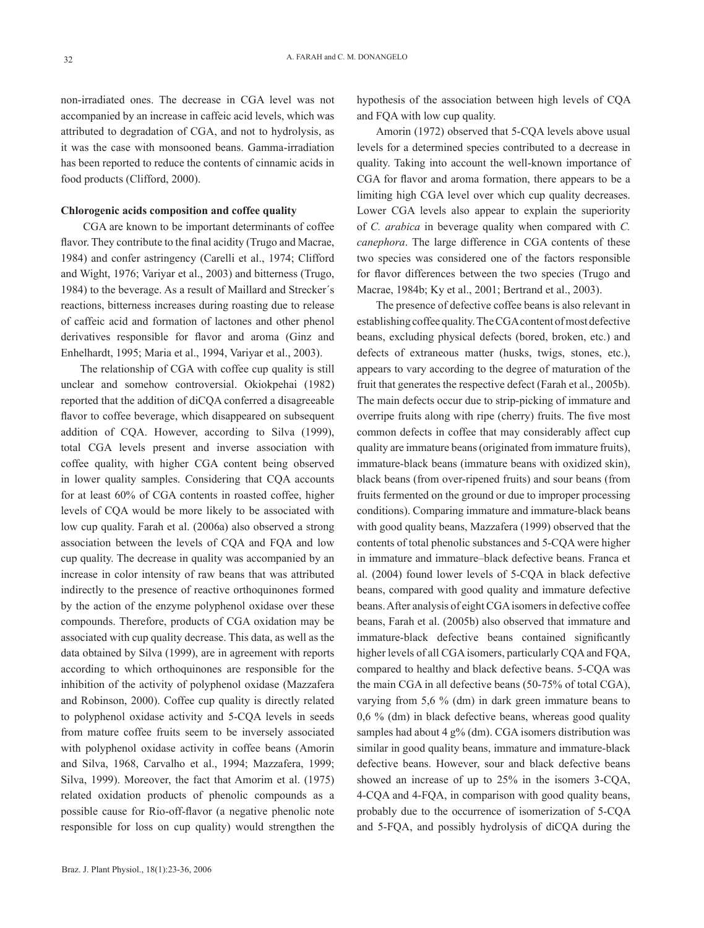non-irradiated ones. The decrease in CGA level was not accompanied by an increase in caffeic acid levels, which was attributed to degradation of CGA, and not to hydrolysis, as it was the case with monsooned beans. Gamma-irradiation has been reported to reduce the contents of cinnamic acids in food products (Clifford, 2000).

#### **Chlorogenic acids composition and coffee quality**

 CGA are known to be important determinants of coffee flavor. They contribute to the final acidity (Trugo and Macrae, 1984) and confer astringency (Carelli et al., 1974; Clifford and Wight, 1976; Variyar et al., 2003) and bitterness (Trugo, 1984) to the beverage. As a result of Maillard and Strecker´s reactions, bitterness increases during roasting due to release of caffeic acid and formation of lactones and other phenol derivatives responsible for flavor and aroma (Ginz and Enhelhardt, 1995; Maria et al., 1994, Variyar et al., 2003).

The relationship of CGA with coffee cup quality is still unclear and somehow controversial. Okiokpehai (1982) reported that the addition of diCQA conferred a disagreeable flavor to coffee beverage, which disappeared on subsequent addition of CQA. However, according to Silva (1999), total CGA levels present and inverse association with coffee quality, with higher CGA content being observed in lower quality samples. Considering that CQA accounts for at least 60% of CGA contents in roasted coffee, higher levels of CQA would be more likely to be associated with low cup quality. Farah et al. (2006a) also observed a strong association between the levels of CQA and FQA and low cup quality. The decrease in quality was accompanied by an increase in color intensity of raw beans that was attributed indirectly to the presence of reactive orthoquinones formed by the action of the enzyme polyphenol oxidase over these compounds. Therefore, products of CGA oxidation may be associated with cup quality decrease. This data, as well as the data obtained by Silva (1999), are in agreement with reports according to which orthoquinones are responsible for the inhibition of the activity of polyphenol oxidase (Mazzafera and Robinson, 2000). Coffee cup quality is directly related to polyphenol oxidase activity and 5-CQA levels in seeds from mature coffee fruits seem to be inversely associated with polyphenol oxidase activity in coffee beans (Amorin and Silva, 1968, Carvalho et al., 1994; Mazzafera, 1999; Silva, 1999). Moreover, the fact that Amorim et al. (1975) related oxidation products of phenolic compounds as a possible cause for Rio-off-flavor (a negative phenolic note responsible for loss on cup quality) would strengthen the hypothesis of the association between high levels of CQA and FQA with low cup quality.

Amorin (1972) observed that 5-CQA levels above usual levels for a determined species contributed to a decrease in quality. Taking into account the well-known importance of CGA for flavor and aroma formation, there appears to be a limiting high CGA level over which cup quality decreases. Lower CGA levels also appear to explain the superiority of *C. arabica* in beverage quality when compared with *C. canephora*. The large difference in CGA contents of these two species was considered one of the factors responsible for flavor differences between the two species (Trugo and Macrae, 1984b; Ky et al., 2001; Bertrand et al., 2003).

The presence of defective coffee beans is also relevant in establishing coffee quality. The CGA content of most defective beans, excluding physical defects (bored, broken, etc.) and defects of extraneous matter (husks, twigs, stones, etc.), appears to vary according to the degree of maturation of the fruit that generates the respective defect (Farah et al., 2005b). The main defects occur due to strip-picking of immature and overripe fruits along with ripe (cherry) fruits. The five most common defects in coffee that may considerably affect cup quality are immature beans (originated from immature fruits), immature-black beans (immature beans with oxidized skin), black beans (from over-ripened fruits) and sour beans (from fruits fermented on the ground or due to improper processing conditions). Comparing immature and immature-black beans with good quality beans, Mazzafera (1999) observed that the contents of total phenolic substances and 5-CQA were higher in immature and immature–black defective beans. Franca et al. (2004) found lower levels of 5-CQA in black defective beans, compared with good quality and immature defective beans. After analysis of eight CGA isomers in defective coffee beans, Farah et al. (2005b) also observed that immature and immature-black defective beans contained significantly higher levels of all CGA isomers, particularly CQA and FQA, compared to healthy and black defective beans. 5-CQA was the main CGA in all defective beans (50-75% of total CGA), varying from 5,6 % (dm) in dark green immature beans to 0,6 % (dm) in black defective beans, whereas good quality samples had about 4 g% (dm). CGA isomers distribution was similar in good quality beans, immature and immature-black defective beans. However, sour and black defective beans showed an increase of up to 25% in the isomers 3-CQA, 4-CQA and 4-FQA, in comparison with good quality beans, probably due to the occurrence of isomerization of 5-CQA and 5-FQA, and possibly hydrolysis of diCQA during the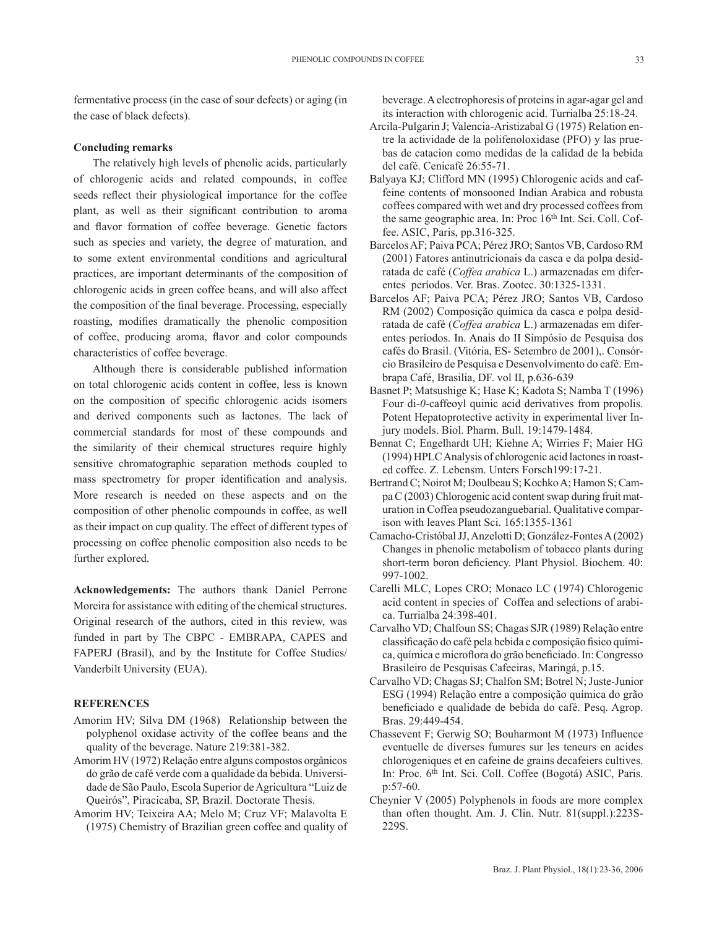fermentative process (in the case of sour defects) or aging (in the case of black defects).

#### **Concluding remarks**

The relatively high levels of phenolic acids, particularly of chlorogenic acids and related compounds, in coffee seeds reflect their physiological importance for the coffee plant, as well as their significant contribution to aroma and flavor formation of coffee beverage. Genetic factors such as species and variety, the degree of maturation, and to some extent environmental conditions and agricultural practices, are important determinants of the composition of chlorogenic acids in green coffee beans, and will also affect the composition of the final beverage. Processing, especially roasting, modifies dramatically the phenolic composition of coffee, producing aroma, flavor and color compounds characteristics of coffee beverage.

Although there is considerable published information on total chlorogenic acids content in coffee, less is known on the composition of specific chlorogenic acids isomers and derived components such as lactones. The lack of commercial standards for most of these compounds and the similarity of their chemical structures require highly sensitive chromatographic separation methods coupled to mass spectrometry for proper identification and analysis. More research is needed on these aspects and on the composition of other phenolic compounds in coffee, as well as their impact on cup quality. The effect of different types of processing on coffee phenolic composition also needs to be further explored.

**Acknowledgements:** The authors thank Daniel Perrone Moreira for assistance with editing of the chemical structures. Original research of the authors, cited in this review, was funded in part by The CBPC - EMBRAPA, CAPES and FAPERJ (Brasil), and by the Institute for Coffee Studies/ Vanderbilt University (EUA).

## **REFERENCES**

- Amorim HV; Silva DM (1968) Relationship between the polyphenol oxidase activity of the coffee beans and the quality of the beverage. Nature 219:381-382.
- Amorim HV (1972) Relação entre alguns compostos orgânicos do grão de café verde com a qualidade da bebida. Universidade de São Paulo, Escola Superior de Agricultura "Luiz de Queirós", Piracicaba, SP, Brazil. Doctorate Thesis.
- Amorim HV; Teixeira AA; Melo M; Cruz VF; Malavolta E (1975) Chemistry of Brazilian green coffee and quality of

beverage. A electrophoresis of proteins in agar-agar gel and its interaction with chlorogenic acid. Turrialba 25:18-24.

- Arcila-Pulgarin J; Valencia-Aristizabal G (1975) Relation entre la actividade de la polifenoloxidase (PFO) y las pruebas de catacion como medidas de la calidad de la bebida del café. Cenicafé 26:55-71.
- Balyaya KJ; Clifford MN (1995) Chlorogenic acids and caffeine contents of monsooned Indian Arabica and robusta coffees compared with wet and dry processed coffees from the same geographic area. In: Proc 16<sup>th</sup> Int. Sci. Coll. Coffee. ASIC, Paris, pp.316-325.
- Barcelos AF; Paiva PCA; Pérez JRO; Santos VB, Cardoso RM (2001) Fatores antinutricionais da casca e da polpa desidratada de café (*Coffea arabica* L.) armazenadas em diferentes períodos. Ver. Bras. Zootec. 30:1325-1331.
- Barcelos AF; Paiva PCA; Pérez JRO; Santos VB, Cardoso RM (2002) Composição química da casca e polpa desidratada de café (*Coffea arabica* L.) armazenadas em diferentes períodos. In. Anais do II Simpósio de Pesquisa dos cafés do Brasil. (Vitória, ES- Setembro de 2001),. Consórcio Brasileiro de Pesquisa e Desenvolvimento do café. Embrapa Café, Brasilia, DF. vol II, p.636-639
- Basnet P; Matsushige K; Hase K; Kadota S; Namba T (1996) Four di-*0*-caffeoyl quinic acid derivatives from propolis. Potent Hepatoprotective activity in experimental liver Injury models. Biol. Pharm. Bull. 19:1479-1484.
- Bennat C; Engelhardt UH; Kiehne A; Wirries F; Maier HG (1994) HPLC Analysis of chlorogenic acid lactones in roasted coffee. Z. Lebensm. Unters Forsch199:17-21.
- Bertrand C; Noirot M; Doulbeau S; Kochko A; Hamon S; Campa C (2003) Chlorogenic acid content swap during fruit maturation in Coffea pseudozanguebarial. Qualitative comparison with leaves Plant Sci. 165:1355-1361
- Camacho-Cristóbal JJ, Anzelotti D; González-Fontes A (2002) Changes in phenolic metabolism of tobacco plants during short-term boron deficiency. Plant Physiol. Biochem. 40: 997-1002.
- Carelli MLC, Lopes CRO; Monaco LC (1974) Chlorogenic acid content in species of Coffea and selections of arabica. Turrialba 24:398-401.
- Carvalho VD; Chalfoun SS; Chagas SJR (1989) Relação entre classificação do café pela bebida e composição fisico química, química e microflora do grão beneficiado. In: Congresso Brasileiro de Pesquisas Cafeeiras, Maringá, p.15.
- Carvalho VD; Chagas SJ; Chalfon SM; Botrel N; Juste-Junior ESG (1994) Relação entre a composição química do grão beneficiado e qualidade de bebida do café. Pesq. Agrop. Bras. 29:449-454.
- Chassevent F; Gerwig SO; Bouharmont M (1973) Influence eventuelle de diverses fumures sur les teneurs en acides chlorogeniques et en cafeine de grains decafeiers cultives. In: Proc. 6th Int. Sci. Coll. Coffee (Bogotá) ASIC, Paris. p:57-60.
- Cheynier V (2005) Polyphenols in foods are more complex than often thought. Am. J. Clin. Nutr. 81(suppl.):223S-229S.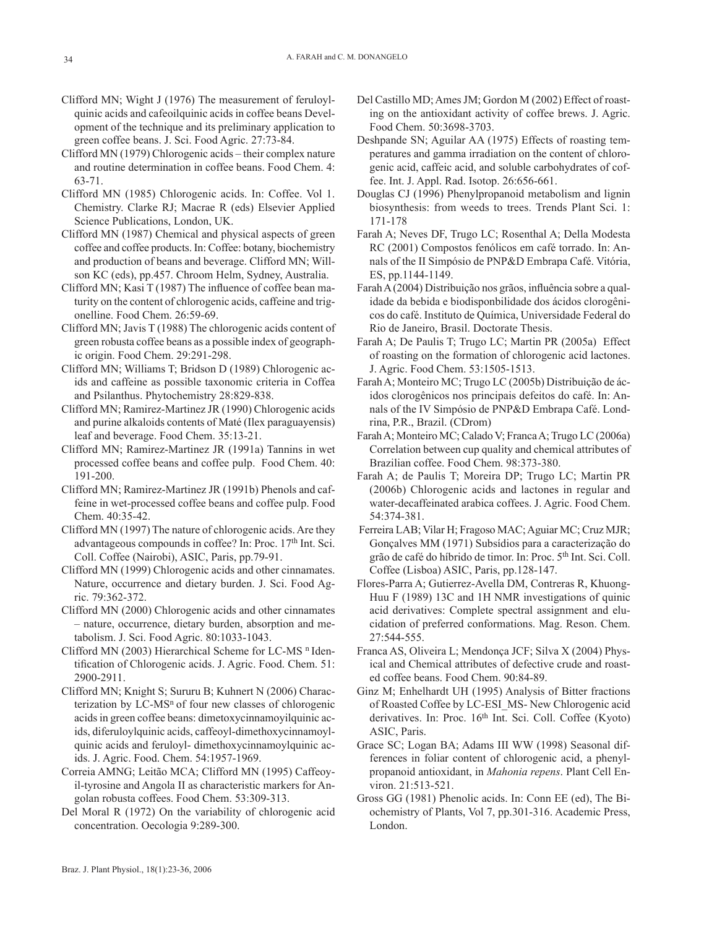- Clifford MN; Wight J (1976) The measurement of feruloylquinic acids and cafeoilquinic acids in coffee beans Development of the technique and its preliminary application to green coffee beans. J. Sci. Food Agric. 27:73-84.
- Clifford MN (1979) Chlorogenic acids their complex nature and routine determination in coffee beans. Food Chem. 4: 63-71.
- Clifford MN (1985) Chlorogenic acids. In: Coffee. Vol 1. Chemistry. Clarke RJ; Macrae R (eds) Elsevier Applied Science Publications, London, UK.
- Clifford MN (1987) Chemical and physical aspects of green coffee and coffee products. In: Coffee: botany, biochemistry and production of beans and beverage. Clifford MN; Willson KC (eds), pp.457. Chroom Helm, Sydney, Australia.
- Clifford MN; Kasi T (1987) The influence of coffee bean maturity on the content of chlorogenic acids, caffeine and trigonelline. Food Chem. 26:59-69.
- Clifford MN; Javis T (1988) The chlorogenic acids content of green robusta coffee beans as a possible index of geographic origin. Food Chem. 29:291-298.
- Clifford MN; Williams T; Bridson D (1989) Chlorogenic acids and caffeine as possible taxonomic criteria in Coffea and Psilanthus. Phytochemistry 28:829-838.
- Clifford MN; Ramirez-Martinez JR (1990) Chlorogenic acids and purine alkaloids contents of Maté (Ilex paraguayensis) leaf and beverage. Food Chem. 35:13-21.
- Clifford MN; Ramirez-Martinez JR (1991a) Tannins in wet processed coffee beans and coffee pulp. Food Chem. 40: 191-200.
- Clifford MN; Ramirez-Martinez JR (1991b) Phenols and caffeine in wet-processed coffee beans and coffee pulp. Food Chem. 40:35-42.
- Clifford MN (1997) The nature of chlorogenic acids. Are they advantageous compounds in coffee? In: Proc. 17th Int. Sci. Coll. Coffee (Nairobi), ASIC, Paris, pp.79-91.
- Clifford MN (1999) Chlorogenic acids and other cinnamates. Nature, occurrence and dietary burden. J. Sci. Food Agric. 79:362-372.
- Clifford MN (2000) Chlorogenic acids and other cinnamates – nature, occurrence, dietary burden, absorption and metabolism. J. Sci. Food Agric. 80:1033-1043.
- Clifford MN (2003) Hierarchical Scheme for LC-MS<sup>n</sup> Identification of Chlorogenic acids. J. Agric. Food. Chem. 51: 2900-2911.
- Clifford MN; Knight S; Sururu B; Kuhnert N (2006) Characterization by  $LC-MS<sup>n</sup>$  of four new classes of chlorogenic acids in green coffee beans: dimetoxycinnamoyilquinic acids, diferuloylquinic acids, caffeoyl-dimethoxycinnamoylquinic acids and feruloyl- dimethoxycinnamoylquinic acids. J. Agric. Food. Chem. 54:1957-1969.
- Correia AMNG; Leitão MCA; Clifford MN (1995) Caffeoyil-tyrosine and Angola II as characteristic markers for Angolan robusta coffees. Food Chem. 53:309-313.
- Del Moral R (1972) On the variability of chlorogenic acid concentration. Oecologia 9:289-300.
- Del Castillo MD; Ames JM; Gordon M (2002) Effect of roasting on the antioxidant activity of coffee brews. J. Agric. Food Chem. 50:3698-3703.
- Deshpande SN; Aguilar AA (1975) Effects of roasting temperatures and gamma irradiation on the content of chlorogenic acid, caffeic acid, and soluble carbohydrates of coffee. Int. J. Appl. Rad. Isotop. 26:656-661.
- Douglas CJ (1996) Phenylpropanoid metabolism and lignin biosynthesis: from weeds to trees. Trends Plant Sci. 1: 171-178
- Farah A; Neves DF, Trugo LC; Rosenthal A; Della Modesta RC (2001) Compostos fenólicos em café torrado. In: Annals of the II Simpósio de PNP&D Embrapa Café. Vitória, ES, pp.1144-1149.
- Farah A (2004) Distribuição nos grãos, influência sobre a qualidade da bebida e biodisponbilidade dos ácidos clorogênicos do café. Instituto de Química, Universidade Federal do Rio de Janeiro, Brasil. Doctorate Thesis.
- Farah A; De Paulis T; Trugo LC; Martin PR (2005a) Effect of roasting on the formation of chlorogenic acid lactones. J. Agric. Food Chem. 53:1505-1513.
- Farah A; Monteiro MC; Trugo LC (2005b) Distribuição de ácidos clorogênicos nos principais defeitos do café. In: Annals of the IV Simpósio de PNP&D Embrapa Café. Londrina, P.R., Brazil. (CDrom)
- Farah A; Monteiro MC; Calado V; Franca A; Trugo LC (2006a) Correlation between cup quality and chemical attributes of Brazilian coffee. Food Chem. 98:373-380.
- Farah A; de Paulis T; Moreira DP; Trugo LC; Martin PR (2006b) Chlorogenic acids and lactones in regular and water-decaffeinated arabica coffees. J. Agric. Food Chem. 54:374-381.
- Ferreira LAB; Vilar H; Fragoso MAC; Aguiar MC; Cruz MJR; Gonçalves MM (1971) Subsídios para a caracterização do grão de café do híbrido de timor. In: Proc. 5th Int. Sci. Coll. Coffee (Lisboa) ASIC, Paris, pp.128-147.
- Flores-Parra A; Gutierrez-Avella DM, Contreras R, Khuong-Huu F (1989) 13C and 1H NMR investigations of quinic acid derivatives: Complete spectral assignment and elucidation of preferred conformations. Mag. Reson. Chem. 27:544-555.
- Franca AS, Oliveira L; Mendonça JCF; Silva X (2004) Physical and Chemical attributes of defective crude and roasted coffee beans. Food Chem. 90:84-89.
- Ginz M; Enhelhardt UH (1995) Analysis of Bitter fractions of Roasted Coffee by LC-ESI\_MS- New Chlorogenic acid derivatives. In: Proc. 16<sup>th</sup> Int. Sci. Coll. Coffee (Kyoto) ASIC, Paris.
- Grace SC; Logan BA; Adams III WW (1998) Seasonal differences in foliar content of chlorogenic acid, a phenylpropanoid antioxidant, in *Mahonia repens*. Plant Cell Environ. 21:513-521.
- Gross GG (1981) Phenolic acids. In: Conn EE (ed), The Biochemistry of Plants, Vol 7, pp.301-316. Academic Press, London.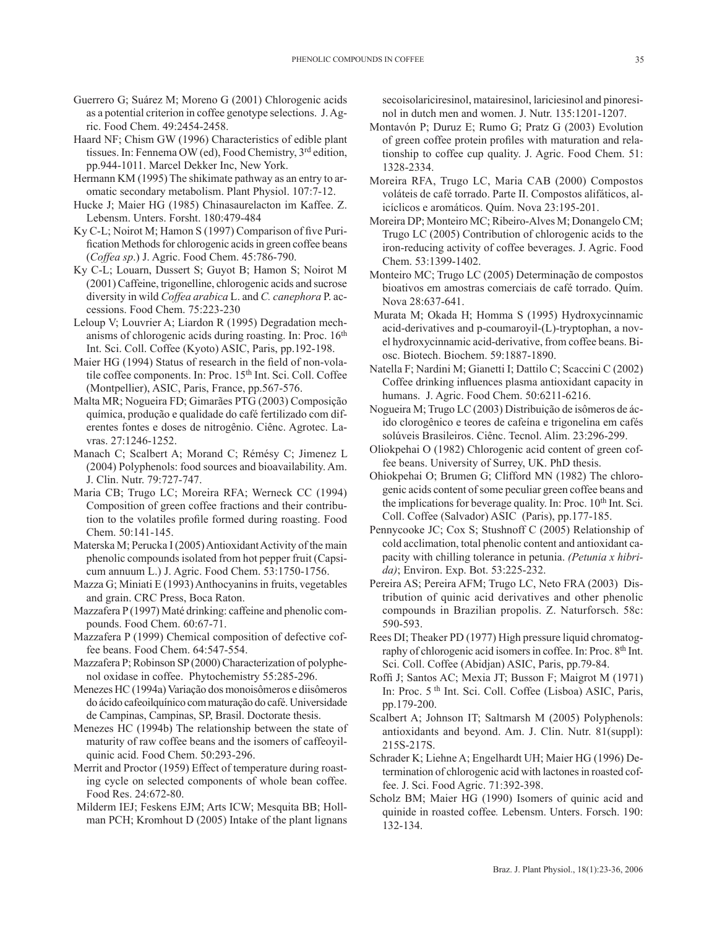- Guerrero G; Suárez M; Moreno G (2001) Chlorogenic acids as a potential criterion in coffee genotype selections. J. Agric. Food Chem. 49:2454-2458.
- Haard NF; Chism GW (1996) Characteristics of edible plant tissues. In: Fennema OW (ed), Food Chemistry, 3rd edition, pp.944-1011. Marcel Dekker Inc, New York.
- Hermann KM (1995) The shikimate pathway as an entry to aromatic secondary metabolism. Plant Physiol. 107:7-12.
- Hucke J; Maier HG (1985) Chinasaurelacton im Kaffee. Z. Lebensm. Unters. Forsht. 180:479-484
- Ky C-L; Noirot M; Hamon S (1997) Comparison of five Purification Methods for chlorogenic acids in green coffee beans (*Coffea sp*.) J. Agric. Food Chem. 45:786-790.
- Ky C-L; Louarn, Dussert S; Guyot B; Hamon S; Noirot M (2001) Caffeine, trigonelline, chlorogenic acids and sucrose diversity in wild *Coffea arabica* L. and *C. canephora* P. accessions. Food Chem. 75:223-230
- Leloup V; Louvrier A; Liardon R (1995) Degradation mechanisms of chlorogenic acids during roasting. In: Proc. 16th Int. Sci. Coll. Coffee (Kyoto) ASIC, Paris, pp.192-198.
- Maier HG (1994) Status of research in the field of non-volatile coffee components. In: Proc. 15<sup>th</sup> Int. Sci. Coll. Coffee (Montpellier), ASIC, Paris, France, pp.567-576.
- Malta MR; Nogueira FD; Gimarães PTG (2003) Composição química, produção e qualidade do café fertilizado com diferentes fontes e doses de nitrogênio. Ciênc. Agrotec. Lavras. 27:1246-1252.
- Manach C; Scalbert A; Morand C; Rémésy C; Jimenez L (2004) Polyphenols: food sources and bioavailability. Am. J. Clin. Nutr. 79:727-747.
- Maria CB; Trugo LC; Moreira RFA; Werneck CC (1994) Composition of green coffee fractions and their contribution to the volatiles profile formed during roasting. Food Chem. 50:141-145.
- Materska M; Perucka I (2005) Antioxidant Activity of the main phenolic compounds isolated from hot pepper fruit (Capsicum annuum L.) J. Agric. Food Chem. 53:1750-1756.
- Mazza G; Miniati E (1993) Anthocyanins in fruits, vegetables and grain. CRC Press, Boca Raton.
- Mazzafera P (1997) Maté drinking: caffeine and phenolic compounds. Food Chem. 60:67-71.
- Mazzafera P (1999) Chemical composition of defective coffee beans. Food Chem. 64:547-554.
- Mazzafera P; Robinson SP (2000) Characterization of polyphenol oxidase in coffee. Phytochemistry 55:285-296.
- Menezes HC (1994a) Variação dos monoisômeros e diisômeros do ácido cafeoilquínico com maturação do café. Universidade de Campinas, Campinas, SP, Brasil. Doctorate thesis.
- Menezes HC (1994b) The relationship between the state of maturity of raw coffee beans and the isomers of caffeoyilquinic acid. Food Chem. 50:293-296.
- Merrit and Proctor (1959) Effect of temperature during roasting cycle on selected components of whole bean coffee. Food Res. 24:672-80.
- Milderm IEJ; Feskens EJM; Arts ICW; Mesquita BB; Hollman PCH; Kromhout D (2005) Intake of the plant lignans

secoisolariciresinol, matairesinol, lariciesinol and pinoresinol in dutch men and women. J. Nutr. 135:1201-1207.

- Montavón P; Duruz E; Rumo G; Pratz G (2003) Evolution of green coffee protein profiles with maturation and relationship to coffee cup quality. J. Agric. Food Chem. 51: 1328-2334.
- Moreira RFA, Trugo LC, Maria CAB (2000) Compostos voláteis de café torrado. Parte II. Compostos alifáticos, alicíclicos e aromáticos. Quím. Nova 23:195-201.
- Moreira DP; Monteiro MC; Ribeiro-Alves M; Donangelo CM; Trugo LC (2005) Contribution of chlorogenic acids to the iron-reducing activity of coffee beverages. J. Agric. Food Chem. 53:1399-1402.
- Monteiro MC; Trugo LC (2005) Determinação de compostos bioativos em amostras comerciais de café torrado. Quím. Nova 28:637-641.
- Murata M; Okada H; Homma S (1995) Hydroxycinnamic acid-derivatives and p-coumaroyil-(L)-tryptophan, a novel hydroxycinnamic acid-derivative, from coffee beans. Biosc. Biotech. Biochem. 59:1887-1890.
- Natella F; Nardini M; Gianetti I; Dattilo C; Scaccini C (2002) Coffee drinking influences plasma antioxidant capacity in humans. J. Agric. Food Chem. 50:6211-6216.
- Nogueira M; Trugo LC (2003) Distribuição de isômeros de ácido clorogênico e teores de cafeína e trigonelina em cafés solúveis Brasileiros. Ciênc. Tecnol. Alim. 23:296-299.
- Oliokpehai O (1982) Chlorogenic acid content of green coffee beans. University of Surrey, UK. PhD thesis.
- Ohiokpehai O; Brumen G; Clifford MN (1982) The chlorogenic acids content of some peculiar green coffee beans and the implications for beverage quality. In: Proc. 10<sup>th</sup> Int. Sci. Coll. Coffee (Salvador) ASIC (Paris), pp.177-185.
- Pennycooke JC; Cox S; Stushnoff C (2005) Relationship of cold acclimation, total phenolic content and antioxidant capacity with chilling tolerance in petunia. *(Petunia x hibrida)*; Environ. Exp. Bot. 53:225-232.
- Pereira AS; Pereira AFM; Trugo LC, Neto FRA (2003) Distribution of quinic acid derivatives and other phenolic compounds in Brazilian propolis. Z. Naturforsch. 58c: 590-593.
- Rees DI; Theaker PD (1977) High pressure liquid chromatography of chlorogenic acid isomers in coffee. In: Proc. 8<sup>th</sup> Int. Sci. Coll. Coffee (Abidjan) ASIC, Paris, pp.79-84.
- Roffi J; Santos AC; Mexia JT; Busson F; Maigrot M (1971) In: Proc. 5 th Int. Sci. Coll. Coffee (Lisboa) ASIC, Paris, pp.179-200.
- Scalbert A; Johnson IT; Saltmarsh M (2005) Polyphenols: antioxidants and beyond. Am. J. Clin. Nutr. 81(suppl): 215S-217S.
- Schrader K; Liehne A; Engelhardt UH; Maier HG (1996) Determination of chlorogenic acid with lactones in roasted coffee. J. Sci. Food Agric. 71:392-398.
- Scholz BM; Maier HG (1990) Isomers of quinic acid and quinide in roasted coffee*.* Lebensm. Unters. Forsch. 190: 132-134.